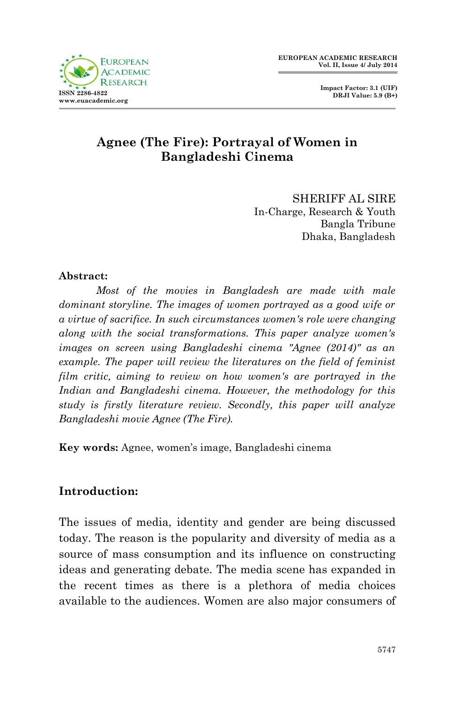



## **Agnee (The Fire): Portrayal of Women in Bangladeshi Cinema**

SHERIFF AL SIRE In-Charge, Research & Youth Bangla Tribune Dhaka, Bangladesh

#### **Abstract:**

*Most of the movies in Bangladesh are made with male dominant storyline. The images of women portrayed as a good wife or a virtue of sacrifice. In such circumstances women's role were changing along with the social transformations. This paper analyze women's images on screen using Bangladeshi cinema "Agnee (2014)" as an example. The paper will review the literatures on the field of feminist film critic, aiming to review on how women's are portrayed in the Indian and Bangladeshi cinema. However, the methodology for this study is firstly literature review. Secondly, this paper will analyze Bangladeshi movie Agnee (The Fire).*

**Key words:** Agnee, women's image, Bangladeshi cinema

## **Introduction:**

The issues of media, identity and gender are being discussed today. The reason is the popularity and diversity of media as a source of mass consumption and its influence on constructing ideas and generating debate. The media scene has expanded in the recent times as there is a plethora of media choices available to the audiences. Women are also major consumers of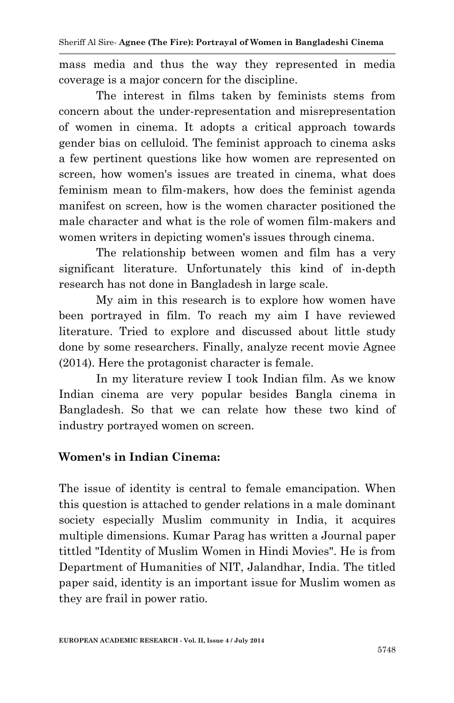mass media and thus the way they represented in media coverage is a major concern for the discipline.

The interest in films taken by feminists stems from concern about the under-representation and misrepresentation of women in cinema. It adopts a critical approach towards gender bias on celluloid. The feminist approach to cinema asks a few pertinent questions like how women are represented on screen, how women's issues are treated in cinema, what does feminism mean to film-makers, how does the feminist agenda manifest on screen, how is the women character positioned the male character and what is the role of women film-makers and women writers in depicting women's issues through cinema.

The relationship between women and film has a very significant literature. Unfortunately this kind of in-depth research has not done in Bangladesh in large scale.

My aim in this research is to explore how women have been portrayed in film. To reach my aim I have reviewed literature. Tried to explore and discussed about little study done by some researchers. Finally, analyze recent movie Agnee (2014). Here the protagonist character is female.

In my literature review I took Indian film. As we know Indian cinema are very popular besides Bangla cinema in Bangladesh. So that we can relate how these two kind of industry portrayed women on screen.

## **Women's in Indian Cinema:**

The issue of identity is central to female emancipation. When this question is attached to gender relations in a male dominant society especially Muslim community in India, it acquires multiple dimensions. Kumar Parag has written a Journal paper tittled "Identity of Muslim Women in Hindi Movies". He is from Department of Humanities of NIT, Jalandhar, India. The titled paper said, identity is an important issue for Muslim women as they are frail in power ratio.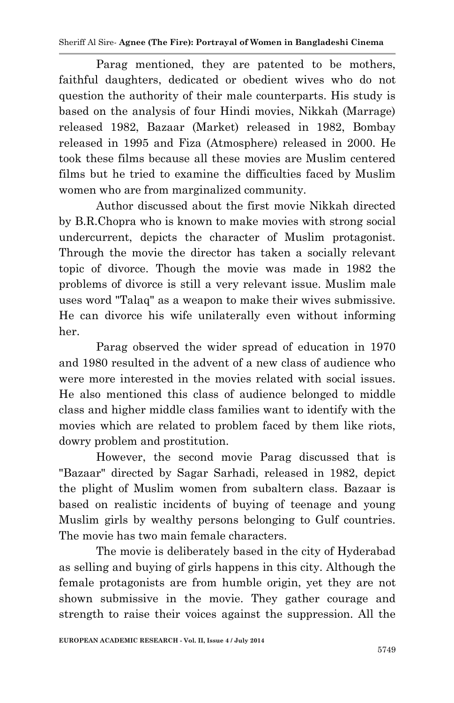#### Sheriff Al Sire*-* **Agnee (The Fire): Portrayal of Women in Bangladeshi Cinema**

Parag mentioned, they are patented to be mothers, faithful daughters, dedicated or obedient wives who do not question the authority of their male counterparts. His study is based on the analysis of four Hindi movies, Nikkah (Marrage) released 1982, Bazaar (Market) released in 1982, Bombay released in 1995 and Fiza (Atmosphere) released in 2000. He took these films because all these movies are Muslim centered films but he tried to examine the difficulties faced by Muslim women who are from marginalized community.

Author discussed about the first movie Nikkah directed by B.R.Chopra who is known to make movies with strong social undercurrent, depicts the character of Muslim protagonist. Through the movie the director has taken a socially relevant topic of divorce. Though the movie was made in 1982 the problems of divorce is still a very relevant issue. Muslim male uses word "Talaq" as a weapon to make their wives submissive. He can divorce his wife unilaterally even without informing her.

Parag observed the wider spread of education in 1970 and 1980 resulted in the advent of a new class of audience who were more interested in the movies related with social issues. He also mentioned this class of audience belonged to middle class and higher middle class families want to identify with the movies which are related to problem faced by them like riots, dowry problem and prostitution.

However, the second movie Parag discussed that is "Bazaar" directed by Sagar Sarhadi, released in 1982, depict the plight of Muslim women from subaltern class. Bazaar is based on realistic incidents of buying of teenage and young Muslim girls by wealthy persons belonging to Gulf countries. The movie has two main female characters.

The movie is deliberately based in the city of Hyderabad as selling and buying of girls happens in this city. Although the female protagonists are from humble origin, yet they are not shown submissive in the movie. They gather courage and strength to raise their voices against the suppression. All the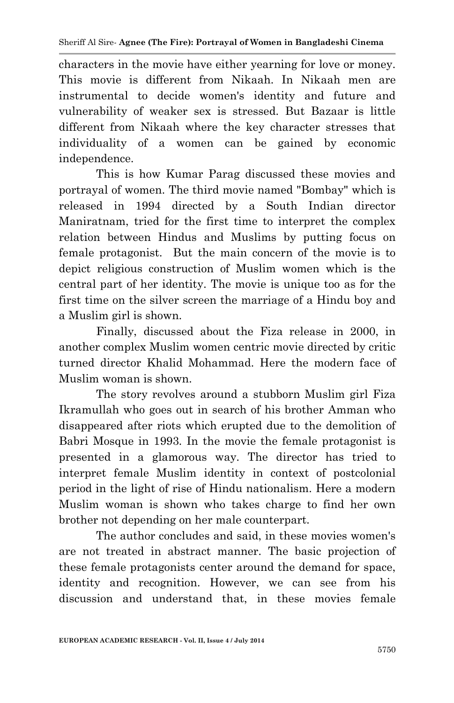characters in the movie have either yearning for love or money. This movie is different from Nikaah. In Nikaah men are instrumental to decide women's identity and future and vulnerability of weaker sex is stressed. But Bazaar is little different from Nikaah where the key character stresses that individuality of a women can be gained by economic independence.

This is how Kumar Parag discussed these movies and portrayal of women. The third movie named "Bombay" which is released in 1994 directed by a South Indian director Maniratnam, tried for the first time to interpret the complex relation between Hindus and Muslims by putting focus on female protagonist. But the main concern of the movie is to depict religious construction of Muslim women which is the central part of her identity. The movie is unique too as for the first time on the silver screen the marriage of a Hindu boy and a Muslim girl is shown.

Finally, discussed about the Fiza release in 2000, in another complex Muslim women centric movie directed by critic turned director Khalid Mohammad. Here the modern face of Muslim woman is shown.

The story revolves around a stubborn Muslim girl Fiza Ikramullah who goes out in search of his brother Amman who disappeared after riots which erupted due to the demolition of Babri Mosque in 1993. In the movie the female protagonist is presented in a glamorous way. The director has tried to interpret female Muslim identity in context of postcolonial period in the light of rise of Hindu nationalism. Here a modern Muslim woman is shown who takes charge to find her own brother not depending on her male counterpart.

The author concludes and said, in these movies women's are not treated in abstract manner. The basic projection of these female protagonists center around the demand for space, identity and recognition. However, we can see from his discussion and understand that, in these movies female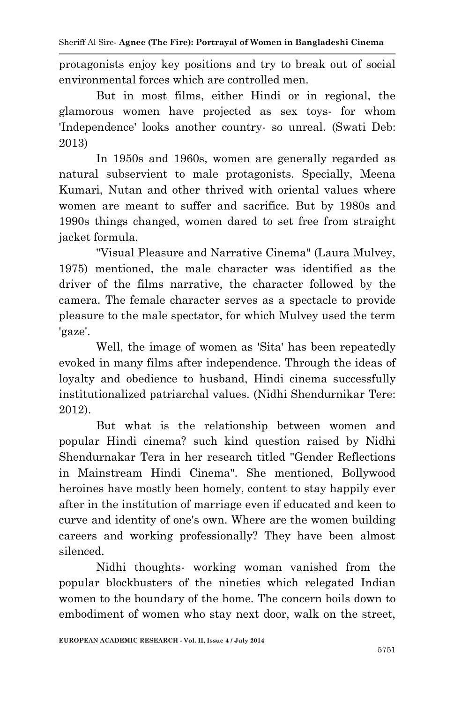Sheriff Al Sire*-* **Agnee (The Fire): Portrayal of Women in Bangladeshi Cinema**

protagonists enjoy key positions and try to break out of social environmental forces which are controlled men.

But in most films, either Hindi or in regional, the glamorous women have projected as sex toys- for whom 'Independence' looks another country- so unreal. (Swati Deb: 2013)

In 1950s and 1960s, women are generally regarded as natural subservient to male protagonists. Specially, Meena Kumari, Nutan and other thrived with oriental values where women are meant to suffer and sacrifice. But by 1980s and 1990s things changed, women dared to set free from straight jacket formula.

"Visual Pleasure and Narrative Cinema" (Laura Mulvey, 1975) mentioned, the male character was identified as the driver of the films narrative, the character followed by the camera. The female character serves as a spectacle to provide pleasure to the male spectator, for which Mulvey used the term 'gaze'.

Well, the image of women as 'Sita' has been repeatedly evoked in many films after independence. Through the ideas of loyalty and obedience to husband, Hindi cinema successfully institutionalized patriarchal values. (Nidhi Shendurnikar Tere: 2012).

But what is the relationship between women and popular Hindi cinema? such kind question raised by Nidhi Shendurnakar Tera in her research titled "Gender Reflections in Mainstream Hindi Cinema". She mentioned, Bollywood heroines have mostly been homely, content to stay happily ever after in the institution of marriage even if educated and keen to curve and identity of one's own. Where are the women building careers and working professionally? They have been almost silenced.

Nidhi thoughts- working woman vanished from the popular blockbusters of the nineties which relegated Indian women to the boundary of the home. The concern boils down to embodiment of women who stay next door, walk on the street,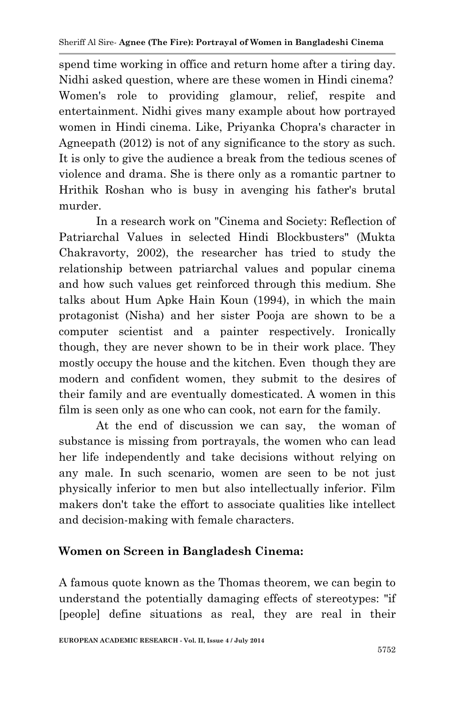spend time working in office and return home after a tiring day. Nidhi asked question, where are these women in Hindi cinema? Women's role to providing glamour, relief, respite and entertainment. Nidhi gives many example about how portrayed women in Hindi cinema. Like, Priyanka Chopra's character in Agneepath (2012) is not of any significance to the story as such. It is only to give the audience a break from the tedious scenes of violence and drama. She is there only as a romantic partner to Hrithik Roshan who is busy in avenging his father's brutal murder.

In a research work on "Cinema and Society: Reflection of Patriarchal Values in selected Hindi Blockbusters" (Mukta Chakravorty, 2002), the researcher has tried to study the relationship between patriarchal values and popular cinema and how such values get reinforced through this medium. She talks about Hum Apke Hain Koun (1994), in which the main protagonist (Nisha) and her sister Pooja are shown to be a computer scientist and a painter respectively. Ironically though, they are never shown to be in their work place. They mostly occupy the house and the kitchen. Even though they are modern and confident women, they submit to the desires of their family and are eventually domesticated. A women in this film is seen only as one who can cook, not earn for the family.

At the end of discussion we can say, the woman of substance is missing from portrayals, the women who can lead her life independently and take decisions without relying on any male. In such scenario, women are seen to be not just physically inferior to men but also intellectually inferior. Film makers don't take the effort to associate qualities like intellect and decision-making with female characters.

## **Women on Screen in Bangladesh Cinema:**

A famous quote known as the Thomas theorem, we can begin to understand the potentially damaging effects of stereotypes: "if [people] define situations as real, they are real in their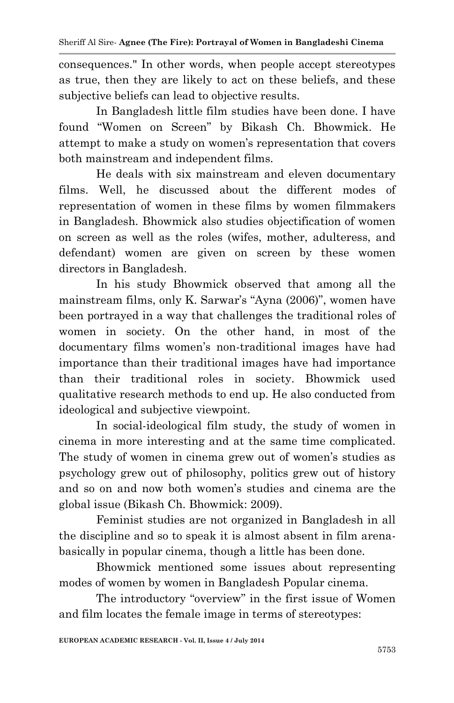consequences." In other words, when people accept stereotypes as true, then they are likely to act on these beliefs, and these subjective beliefs can lead to objective results.

In Bangladesh little film studies have been done. I have found "Women on Screen" by Bikash Ch. Bhowmick. He attempt to make a study on women's representation that covers both mainstream and independent films.

He deals with six mainstream and eleven documentary films. Well, he discussed about the different modes of representation of women in these films by women filmmakers in Bangladesh. Bhowmick also studies objectification of women on screen as well as the roles (wifes, mother, adulteress, and defendant) women are given on screen by these women directors in Bangladesh.

In his study Bhowmick observed that among all the mainstream films, only K. Sarwar's "Ayna (2006)", women have been portrayed in a way that challenges the traditional roles of women in society. On the other hand, in most of the documentary films women's non-traditional images have had importance than their traditional images have had importance than their traditional roles in society. Bhowmick used qualitative research methods to end up. He also conducted from ideological and subjective viewpoint.

In social-ideological film study, the study of women in cinema in more interesting and at the same time complicated. The study of women in cinema grew out of women's studies as psychology grew out of philosophy, politics grew out of history and so on and now both women's studies and cinema are the global issue (Bikash Ch. Bhowmick: 2009).

Feminist studies are not organized in Bangladesh in all the discipline and so to speak it is almost absent in film arenabasically in popular cinema, though a little has been done.

Bhowmick mentioned some issues about representing modes of women by women in Bangladesh Popular cinema.

The introductory "overview" in the first issue of Women and film locates the female image in terms of stereotypes: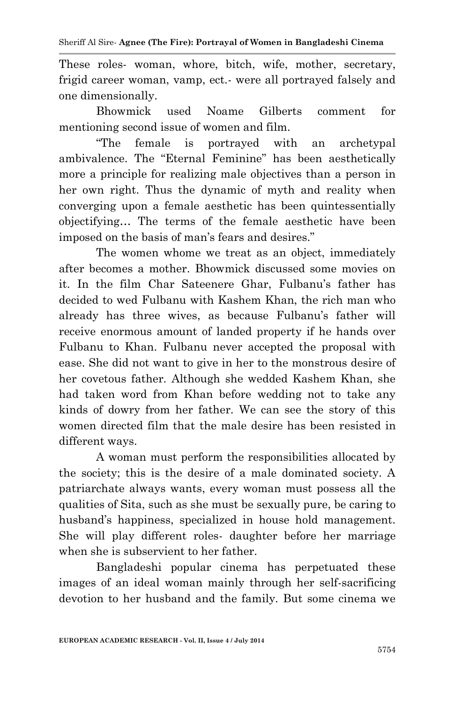These roles- woman, whore, bitch, wife, mother, secretary, frigid career woman, vamp, ect.- were all portrayed falsely and one dimensionally.

Bhowmick used Noame Gilberts comment for mentioning second issue of women and film.

"The female is portrayed with an archetypal ambivalence. The "Eternal Feminine" has been aesthetically more a principle for realizing male objectives than a person in her own right. Thus the dynamic of myth and reality when converging upon a female aesthetic has been quintessentially objectifying… The terms of the female aesthetic have been imposed on the basis of man's fears and desires."

The women whome we treat as an object, immediately after becomes a mother. Bhowmick discussed some movies on it. In the film Char Sateenere Ghar, Fulbanu's father has decided to wed Fulbanu with Kashem Khan, the rich man who already has three wives, as because Fulbanu's father will receive enormous amount of landed property if he hands over Fulbanu to Khan. Fulbanu never accepted the proposal with ease. She did not want to give in her to the monstrous desire of her covetous father. Although she wedded Kashem Khan, she had taken word from Khan before wedding not to take any kinds of dowry from her father. We can see the story of this women directed film that the male desire has been resisted in different ways.

A woman must perform the responsibilities allocated by the society; this is the desire of a male dominated society. A patriarchate always wants, every woman must possess all the qualities of Sita, such as she must be sexually pure, be caring to husband's happiness, specialized in house hold management. She will play different roles- daughter before her marriage when she is subservient to her father.

Bangladeshi popular cinema has perpetuated these images of an ideal woman mainly through her self-sacrificing devotion to her husband and the family. But some cinema we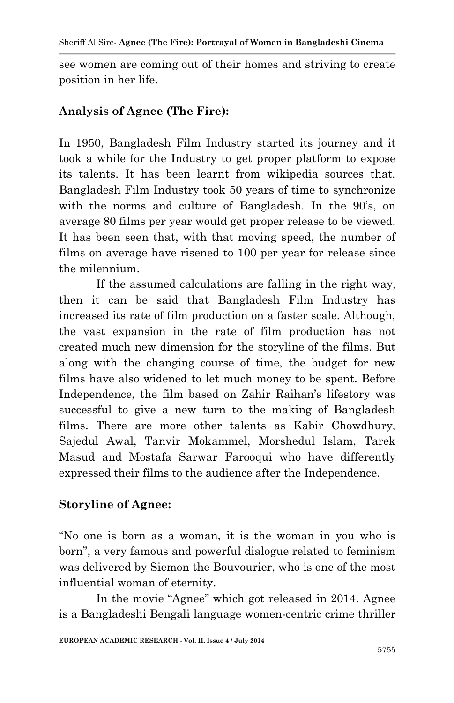see women are coming out of their homes and striving to create position in her life.

#### **Analysis of Agnee (The Fire):**

In 1950, Bangladesh Film Industry started its journey and it took a while for the Industry to get proper platform to expose its talents. It has been learnt from wikipedia sources that, Bangladesh Film Industry took 50 years of time to synchronize with the norms and culture of Bangladesh. In the 90's, on average 80 films per year would get proper release to be viewed. It has been seen that, with that moving speed, the number of films on average have risened to 100 per year for release since the milennium.

If the assumed calculations are falling in the right way, then it can be said that Bangladesh Film Industry has increased its rate of film production on a faster scale. Although, the vast expansion in the rate of film production has not created much new dimension for the storyline of the films. But along with the changing course of time, the budget for new films have also widened to let much money to be spent. Before Independence, the film based on Zahir Raihan's lifestory was successful to give a new turn to the making of Bangladesh films. There are more other talents as Kabir Chowdhury, Sajedul Awal, Tanvir Mokammel, Morshedul Islam, Tarek Masud and Mostafa Sarwar Farooqui who have differently expressed their films to the audience after the Independence.

## **Storyline of Agnee:**

"No one is born as a woman, it is the woman in you who is born", a very famous and powerful dialogue related to feminism was delivered by Siemon the Bouvourier, who is one of the most influential woman of eternity.

In the movie "Agnee" which got released in 2014. Agnee is a Bangladeshi Bengali language women-centric crime thriller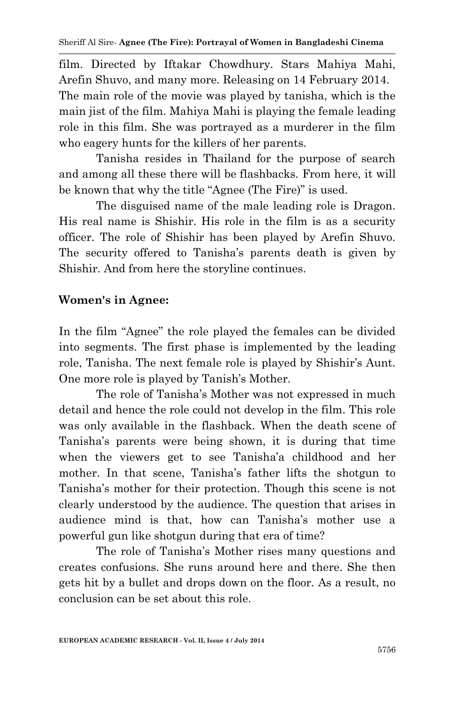film. Directed by Iftakar Chowdhury. Stars Mahiya Mahi, Arefin Shuvo, and many more. Releasing on 14 February 2014. The main role of the movie was played by tanisha, which is the main jist of the film. Mahiya Mahi is playing the female leading role in this film. She was portrayed as a murderer in the film who eagery hunts for the killers of her parents.

Tanisha resides in Thailand for the purpose of search and among all these there will be flashbacks. From here, it will be known that why the title "Agnee (The Fire)" is used.

The disguised name of the male leading role is Dragon. His real name is Shishir. His role in the film is as a security officer. The role of Shishir has been played by Arefin Shuvo. The security offered to Tanisha's parents death is given by Shishir. And from here the storyline continues.

## **Women's in Agnee:**

In the film "Agnee" the role played the females can be divided into segments. The first phase is implemented by the leading role, Tanisha. The next female role is played by Shishir's Aunt. One more role is played by Tanish's Mother.

The role of Tanisha's Mother was not expressed in much detail and hence the role could not develop in the film. This role was only available in the flashback. When the death scene of Tanisha's parents were being shown, it is during that time when the viewers get to see Tanisha'a childhood and her mother. In that scene, Tanisha's father lifts the shotgun to Tanisha's mother for their protection. Though this scene is not clearly understood by the audience. The question that arises in audience mind is that, how can Tanisha's mother use a powerful gun like shotgun during that era of time?

The role of Tanisha's Mother rises many questions and creates confusions. She runs around here and there. She then gets hit by a bullet and drops down on the floor. As a result, no conclusion can be set about this role.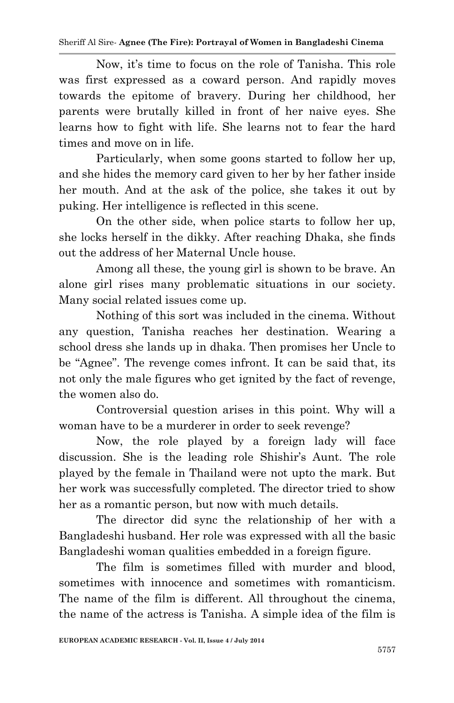#### Sheriff Al Sire*-* **Agnee (The Fire): Portrayal of Women in Bangladeshi Cinema**

Now, it's time to focus on the role of Tanisha. This role was first expressed as a coward person. And rapidly moves towards the epitome of bravery. During her childhood, her parents were brutally killed in front of her naive eyes. She learns how to fight with life. She learns not to fear the hard times and move on in life.

Particularly, when some goons started to follow her up, and she hides the memory card given to her by her father inside her mouth. And at the ask of the police, she takes it out by puking. Her intelligence is reflected in this scene.

On the other side, when police starts to follow her up, she locks herself in the dikky. After reaching Dhaka, she finds out the address of her Maternal Uncle house.

Among all these, the young girl is shown to be brave. An alone girl rises many problematic situations in our society. Many social related issues come up.

Nothing of this sort was included in the cinema. Without any question, Tanisha reaches her destination. Wearing a school dress she lands up in dhaka. Then promises her Uncle to be "Agnee". The revenge comes infront. It can be said that, its not only the male figures who get ignited by the fact of revenge, the women also do.

Controversial question arises in this point. Why will a woman have to be a murderer in order to seek revenge?

Now, the role played by a foreign lady will face discussion. She is the leading role Shishir's Aunt. The role played by the female in Thailand were not upto the mark. But her work was successfully completed. The director tried to show her as a romantic person, but now with much details.

The director did sync the relationship of her with a Bangladeshi husband. Her role was expressed with all the basic Bangladeshi woman qualities embedded in a foreign figure.

The film is sometimes filled with murder and blood, sometimes with innocence and sometimes with romanticism. The name of the film is different. All throughout the cinema, the name of the actress is Tanisha. A simple idea of the film is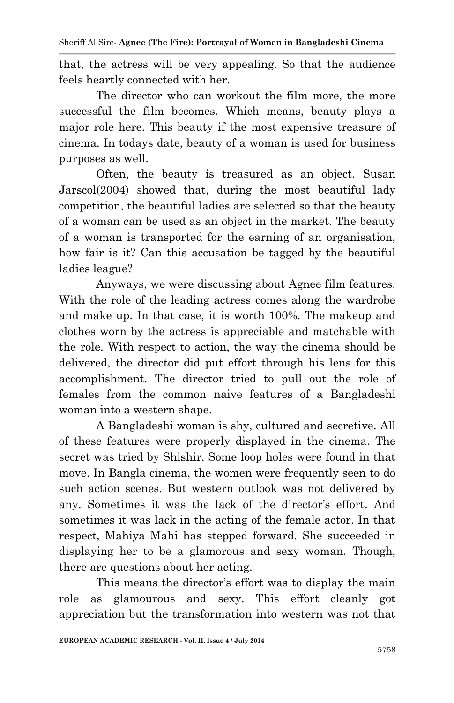that, the actress will be very appealing. So that the audience feels heartly connected with her.

The director who can workout the film more, the more successful the film becomes. Which means, beauty plays a major role here. This beauty if the most expensive treasure of cinema. In todays date, beauty of a woman is used for business purposes as well.

Often, the beauty is treasured as an object. Susan Jarscol(2004) showed that, during the most beautiful lady competition, the beautiful ladies are selected so that the beauty of a woman can be used as an object in the market. The beauty of a woman is transported for the earning of an organisation, how fair is it? Can this accusation be tagged by the beautiful ladies league?

Anyways, we were discussing about Agnee film features. With the role of the leading actress comes along the wardrobe and make up. In that case, it is worth 100%. The makeup and clothes worn by the actress is appreciable and matchable with the role. With respect to action, the way the cinema should be delivered, the director did put effort through his lens for this accomplishment. The director tried to pull out the role of females from the common naive features of a Bangladeshi woman into a western shape.

A Bangladeshi woman is shy, cultured and secretive. All of these features were properly displayed in the cinema. The secret was tried by Shishir. Some loop holes were found in that move. In Bangla cinema, the women were frequently seen to do such action scenes. But western outlook was not delivered by any. Sometimes it was the lack of the director's effort. And sometimes it was lack in the acting of the female actor. In that respect, Mahiya Mahi has stepped forward. She succeeded in displaying her to be a glamorous and sexy woman. Though, there are questions about her acting.

This means the director's effort was to display the main role as glamourous and sexy. This effort cleanly got appreciation but the transformation into western was not that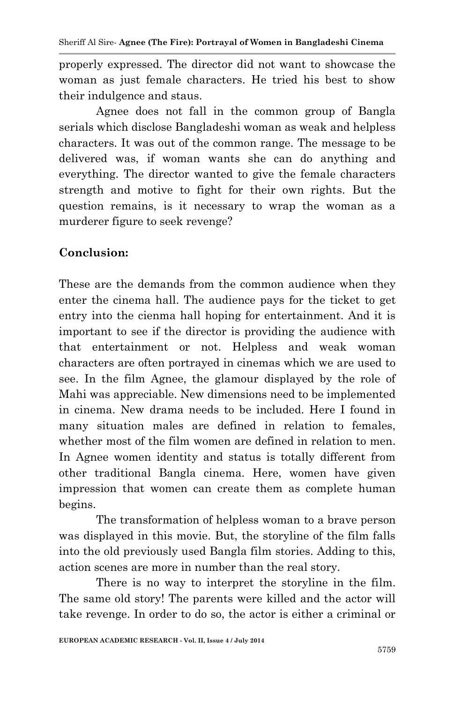properly expressed. The director did not want to showcase the woman as just female characters. He tried his best to show their indulgence and staus.

Agnee does not fall in the common group of Bangla serials which disclose Bangladeshi woman as weak and helpless characters. It was out of the common range. The message to be delivered was, if woman wants she can do anything and everything. The director wanted to give the female characters strength and motive to fight for their own rights. But the question remains, is it necessary to wrap the woman as a murderer figure to seek revenge?

# **Conclusion:**

These are the demands from the common audience when they enter the cinema hall. The audience pays for the ticket to get entry into the cienma hall hoping for entertainment. And it is important to see if the director is providing the audience with that entertainment or not. Helpless and weak woman characters are often portrayed in cinemas which we are used to see. In the film Agnee, the glamour displayed by the role of Mahi was appreciable. New dimensions need to be implemented in cinema. New drama needs to be included. Here I found in many situation males are defined in relation to females, whether most of the film women are defined in relation to men. In Agnee women identity and status is totally different from other traditional Bangla cinema. Here, women have given impression that women can create them as complete human begins.

The transformation of helpless woman to a brave person was displayed in this movie. But, the storyline of the film falls into the old previously used Bangla film stories. Adding to this, action scenes are more in number than the real story.

There is no way to interpret the storyline in the film. The same old story! The parents were killed and the actor will take revenge. In order to do so, the actor is either a criminal or